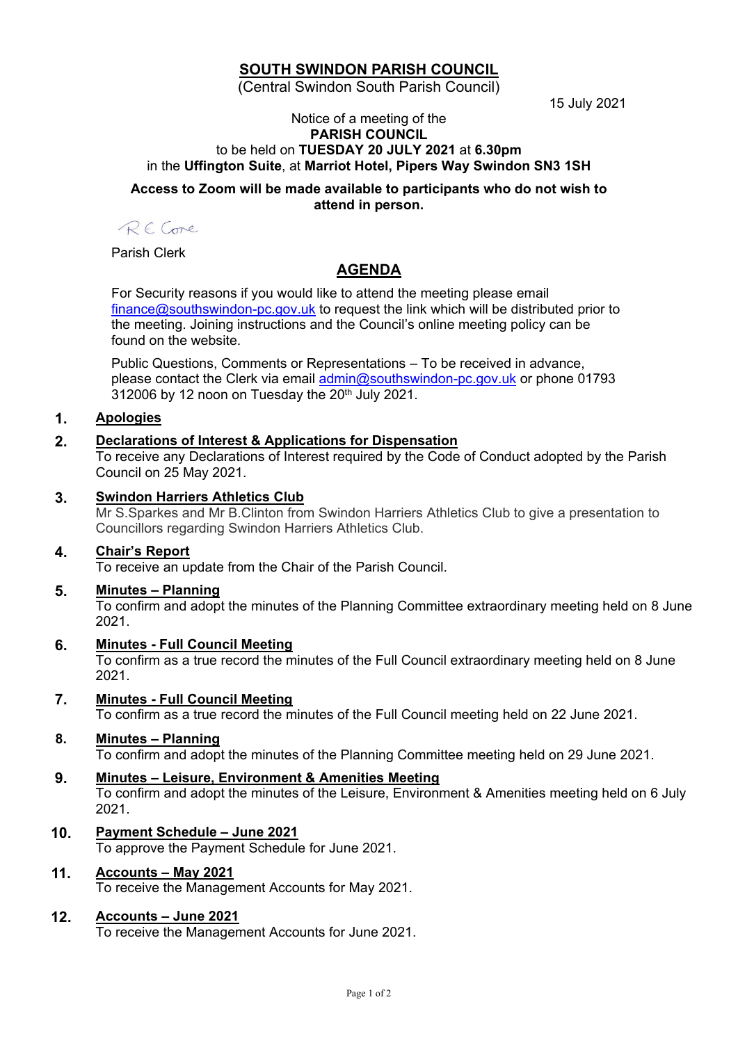# **SOUTH SWINDON PARISH COUNCIL**

(Central Swindon South Parish Council)

15 July 2021

#### Notice of a meeting of the **PARISH COUNCIL** to be held on **TUESDAY 20 JULY 2021** at **6.30pm** in the **Uffington Suite**, at **Marriot Hotel, Pipers Way Swindon SN3 1SH**

#### **Access to Zoom will be made available to participants who do not wish to attend in person.**

RECone

Parish Clerk

# **AGENDA**

For Security reasons if you would like to attend the meeting please email [finance@southswindon-pc.gov.uk](mailto:finance@southswindon-pc.gov.uk) to request the link which will be distributed prior to the meeting. Joining instructions and the Council's online meeting policy can be found on the website.

Public Questions, Comments or Representations – To be received in advance, please contact the Clerk via email [admin@southswindon-pc.gov.uk](mailto:admin@southswindon-pc.gov.uk) or phone 01793  $312006$  by 12 noon on Tuesday the  $20<sup>th</sup>$  July 2021.

# **1. Apologies**

# **2. Declarations of Interest & Applications for Dispensation**

To receive any Declarations of Interest required by the Code of Conduct adopted by the Parish Council on 25 May 2021.

## **3. Swindon Harriers Athletics Club**

Mr S.Sparkes and Mr B.Clinton from Swindon Harriers Athletics Club to give a presentation to Councillors regarding Swindon Harriers Athletics Club.

## **4. Chair's Report**

To receive an update from the Chair of the Parish Council.

#### **5. Minutes – Planning**

To confirm and adopt the minutes of the Planning Committee extraordinary meeting held on 8 June 2021.

## **6. Minutes - Full Council Meeting**

To confirm as a true record the minutes of the Full Council extraordinary meeting held on 8 June 2021.

## **7. Minutes - Full Council Meeting**

To confirm as a true record the minutes of the Full Council meeting held on 22 June 2021.

## **8. Minutes – Planning**

To confirm and adopt the minutes of the Planning Committee meeting held on 29 June 2021.

## **9. Minutes – Leisure, Environment & Amenities Meeting**

To confirm and adopt the minutes of the Leisure, Environment & Amenities meeting held on 6 July 2021.

**10. Payment Schedule – June 2021** To approve the Payment Schedule for June 2021.

# **11. Accounts – May 2021**

To receive the Management Accounts for May 2021.

## **12. Accounts – June 2021**

To receive the Management Accounts for June 2021.